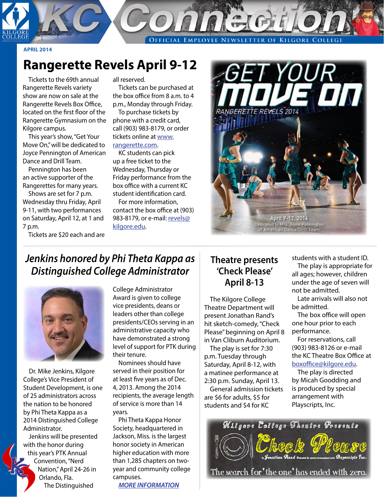**EMPLOYEE NEWSLETTER OF KILGORE COLLEGE** OFFICIAL

#### **APRIL 2014**

# **Rangerette Revels April 9-12**

Tickets to the 69th annual Rangerette Revels variety show are now on sale at the Rangerette Revels Box Office, located on the first floor of the Rangerette Gymnasium on the Kilgore campus.

This year's show, "Get Your Move On," will be dedicated to Joyce Pennington of American Dance and Drill Team.

Pennington has been an active supporter of the Rangerettes for many years.

Shows are set for 7 p.m. Wednesday thru Friday, April 9-11, with two performances on Saturday, April 12, at 1 and 7 p.m.

Tickets are \$20 each and are

all reserved.

Tickets can be purchased at the box office from 8 a.m. to 4 p.m., Monday through Friday.

To purchase tickets by phone with a credit card, call (903) 983-8179, or order tickets online at [www.](http://www.rangerette.com) [rangerette.com.](http://www.rangerette.com)

KC students can pick up a free ticket to the Wednesday, Thursday or Friday performance from the box office with a current KC student identification card.

For more information, contact the box office at (903) 983-8179, or e-mail: [revels@](mailto:revels%40kilgore.edu?subject=) [kilgore.edu.](mailto:revels%40kilgore.edu?subject=)



## *Jenkins honored by Phi Theta Kappa as Distinguished College Administrator*



Dr. Mike Jenkins, Kilgore College's Vice President of Student Development, is one of 25 administrators across the nation to be honored by Phi Theta Kappa as a 2014 Distinguished College Administrator.

Jenkins will be presented with the honor during this year's PTK Annual Convention, "Nerd Nation," April 24-26 in Orlando, Fla. The Distinguished

College Administrator Award is given to college vice presidents, deans or leaders other than college presidents/CEOs serving in an administrative capacity who have demonstrated a strong level of support for PTK during their tenure.

Nominees should have served in their position for at least five years as of Dec. 4, 2013. Among the 2014 recipients, the average length of service is more than 14 years.

Phi Theta Kappa Honor Society, headquartered in Jackson, Miss. is the largest honor society in American higher education with more than 1,285 chapters on twoyear and community college campuses.

*[MORE INFORMATION](http://www.ptk.org/25-Named-Distinguished-College-Administrators)*

#### **Theatre presents 'Check Please' April 8-13**

The Kilgore College Theatre Department will present Jonathan Rand's hit sketch-comedy, "Check Please" beginning on April 8 in Van Cliburn Auditorium.

The play is set for 7:30 p.m. Tuesday through Saturday, April 8-12, with a matinee performance at 2:30 p.m. Sunday, April 13. General admission tickets are \$6 for adults, \$5 for students and \$4 for KC

students with a student ID.

The play is appropriate for all ages; however, children under the age of seven will not be admitted.

Late arrivals will also not be admitted.

The box office will open one hour prior to each performance.

For reservations, call (903) 983-8126 or e-mail the KC Theatre Box Office at [boxoffice@kilgore.edu.](mailto:boxoffice%40kilgore.edu?subject=)

The play is directed by Micah Goodding and is produced by special arrangement with Playscripts, Inc.

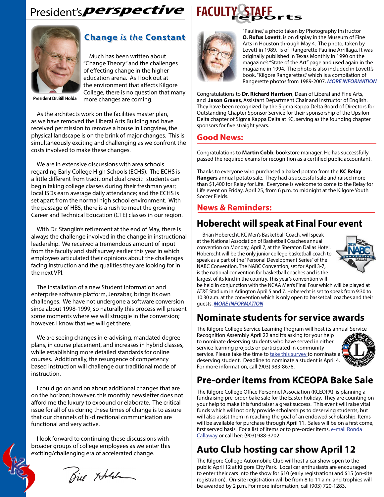# President's**perspective**



#### **Change** *is the* **Constant**

Much has been written about "Change Theory" and the challenges of effecting change in the higher education arena. As I look out at the environment that affects Kilgore College, there is no question that many more changes are coming.

**President Dr. Bill Holda**

As the architects work on the facilities master plan, as we have removed the Liberal Arts Building and have received permission to remove a house in Longview, the physical landscape is on the brink of major changes. This is simultaneously exciting and challenging as we confront the costs involved to make these changes.

We are in extensive discussions with area schools regarding Early College High Schools (ECHS). The ECHS is a little different from traditional dual credit: students can begin taking college classes during their freshman year; local ISDs earn average daily attendance; and the ECHS is set apart from the normal high school environment. With the passage of HB5, there is a rush to meet the growing Career and Technical Education (CTE) classes in our region.

With Dr. Stanglin's retirement at the end of May, there is always the challenge involved in the change in instructional leadership. We received a tremendous amount of input from the faculty and staff survey earlier this year in which employees articulated their opinions about the challenges facing instruction and the qualities they are looking for in the next VPI.

The installation of a new Student Information and enterprise software platform, Jenzabar, brings its own challenges. We have not undergone a software conversion since about 1998-1999, so naturally this process will present some moments where we will struggle in the conversion; however, I know that we will get there.

We are seeing changes in e-advising, mandated degree plans, in course placement, and increases in hybrid classes, while establishing more detailed standards for online courses. Additionally, the resurgence of competency based instruction will challenge our traditional mode of instruction.

I could go on and on about additional changes that are on the horizon; however, this monthly newsletter does not afford me the luxury to expound or elaborate. The critical issue for all of us during these times of change is to assure that our channels of bi-directional communication are functional and very active.

I look forward to continuing these discussions with broader groups of college employees as we enter this exciting/challenging era of accelerated change.

Bie Holden





"Pauline," a photo taken by Photography Instructor **O. Rufus Lovett**, is on display in the Museum of Fine Arts in Houston through May 4. The photo, taken by Lovett in 1989, is of Rangerette Pauline Arrillaga. It was originally published in Texas Monthly in 1990 on the magazine's "State of the Art" page and used again in the magazine in 1994. The photo is also included in Lovett's book, "Kilgore Rangerettes," which is a compilation of Rangerette photos from 1989-2007. *[MORE INFORMATION](http://www.kilgorenewsherald.com/news/2014-03-08/Front_Page/Lovetts_Rette_photo_Pauline_chosen_for_Houston_exh.html)*

Congratulations to **Dr. Richard Harrison**, Dean of Liberal and Fine Arts, and **Jason Graves**, Assistant Department Chair and Instructor of English. They have been recognized by the Sigma Kappa Delta Board of Directors for Outstanding Chapter Sponsor Service for their sponsorship of the Upsilon Delta chapter of Sigma Kappa Delta at KC, serving as the founding chapter sponsors for five straight years.

#### **Good News:**

Congratulations to **Martin Cobb**, bookstore manager. He has successfully passed the required exams for recognition as a certified public accountant.

Thanks to everyone who purchased a baked potato from the **KC Relay Rangers** annual potato sale. They had a successful sale and raised more than \$1,400 for Relay for Life. Everyone is welcome to come to the Relay for Life event on Friday, April 25, from 6 p.m. to midnight at the Kilgore Youth Soccer Fields.

#### **News & Reminders:**

#### **Hoberecht will speak at Final Four event**

Brian Hoberecht, KC Men's Basketball Coach, will speak at the National Association of Basketball Coaches annual convention on Monday, April 7, at the Sheraton Dallas Hotel. Hoberecht will be the only junior college basketball coach to speak as a part of the "Personal Development Series" of the NABC Convention. The NABC Convention, set for April 3-7, is the national convention for basketball coaches and is the largest of its kind in the country. This year's convention will



be held in conjunction with the NCAA Men's Final Four which will be played at AT&T Stadium in Arlington April 5 and 7. Hoberecht is set to speak from 9:30 to 10:30 a.m. at the convention which is only open to basketball coaches and their guests. *[MORE INFORMATION](http://www.nabc.org/convention)*

## **Nominate students for service awards**

The Kilgore College Service Learning Program will host its annual Service Recognition Assembly April 22 and it's asking for your help to nominate deserving students who have served in either service learning projects or participated in community service. Please take the time to [take this survey t](http://www.surveymonkey.com/s/Service_Learning_Award_by_Faculty)o nominate a deserving student. Deadline to nominate a student is April 4. For more information, call (903) 983-8678.



# **Pre-order items from KCEOPA Bake Sale**

The Kilgore College Office Personnel Association (KCEOPA) is planning a fundraising pre-order bake sale for the Easter holiday. They are counting on your help to make this fundraiser a great success. This event will raise vital funds which will not only provide scholarships to deserving students, but will also assist them in reaching the goal of an endowed scholarship. Items will be available for purchase through April 11. Sales will be on a first come, first served basis. For a list of items or to pre-order items, [e-mail Ronda](mailto:rcallaway%40kilgore.edu?subject=)  [Callaway](mailto:rcallaway%40kilgore.edu?subject=) or call her: (903) 988-3702.

# **Auto Club hosting car show April 12**

The Kilgore College Automobile Club will host a car show open to the public April 12 at Kilgore City Park. Local car enthusiasts are encouraged to enter their cars into the show for \$10 (early registration) and \$15 (on-site registration). On-site registration will be from 8 to 11 a.m. and trophies will be awarded by 2 p.m. For more information, call (903) 720-1283.